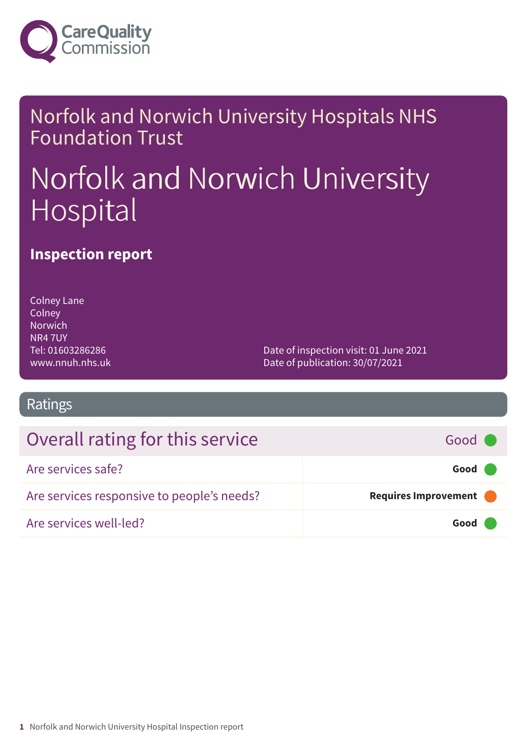

### Norfolk and Norwich University Hospitals NHS Foundation Trust

# Norfolk and Norwich University Hospital

### **Inspection report**

Colney Lane **Colney** Norwich NR4 7UY Tel: 01603286286 www.nnuh.nhs.uk

Date of inspection visit: 01 June 2021 Date of publication: 30/07/2021

### Ratings

### Overall rating for this service **For all and the Good Good** Good **For all and Good**

| Are services safe?                         | Good                 |
|--------------------------------------------|----------------------|
| Are services responsive to people's needs? | Requires Improvement |
| Are services well-led?                     | Good                 |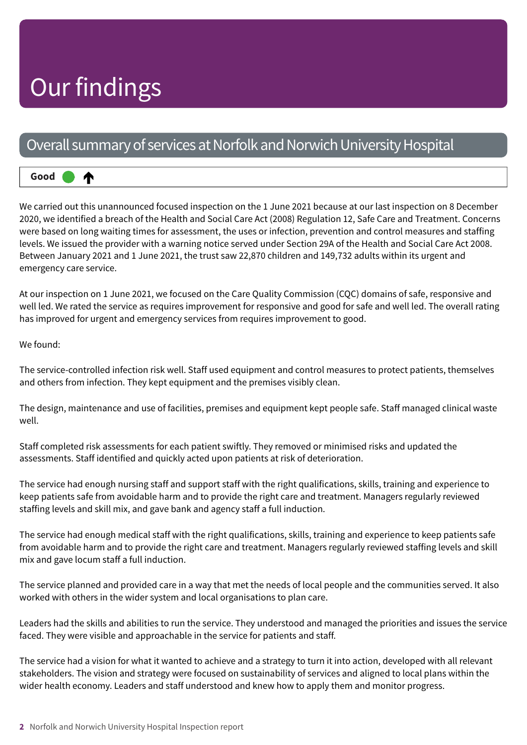# Our findings

⋔

### Overall summary of services at Norfolk and Norwich University Hospital

**Good –––**

We carried out this unannounced focused inspection on the 1 June 2021 because at our last inspection on 8 December 2020, we identified a breach of the Health and Social Care Act (2008) Regulation 12, Safe Care and Treatment. Concerns were based on long waiting times for assessment, the uses or infection, prevention and control measures and staffing levels. We issued the provider with a warning notice served under Section 29A of the Health and Social Care Act 2008. Between January 2021 and 1 June 2021, the trust saw 22,870 children and 149,732 adults within its urgent and emergency care service.

At our inspection on 1 June 2021, we focused on the Care Quality Commission (CQC) domains of safe, responsive and well led. We rated the service as requires improvement for responsive and good for safe and well led. The overall rating has improved for urgent and emergency services from requires improvement to good.

We found:

The service-controlled infection risk well. Staff used equipment and control measures to protect patients, themselves and others from infection. They kept equipment and the premises visibly clean.

The design, maintenance and use of facilities, premises and equipment kept people safe. Staff managed clinical waste well.

Staff completed risk assessments for each patient swiftly. They removed or minimised risks and updated the assessments. Staff identified and quickly acted upon patients at risk of deterioration.

The service had enough nursing staff and support staff with the right qualifications, skills, training and experience to keep patients safe from avoidable harm and to provide the right care and treatment. Managers regularly reviewed staffing levels and skill mix, and gave bank and agency staff a full induction.

The service had enough medical staff with the right qualifications, skills, training and experience to keep patients safe from avoidable harm and to provide the right care and treatment. Managers regularly reviewed staffing levels and skill mix and gave locum staff a full induction.

The service planned and provided care in a way that met the needs of local people and the communities served. It also worked with others in the wider system and local organisations to plan care.

Leaders had the skills and abilities to run the service. They understood and managed the priorities and issues the service faced. They were visible and approachable in the service for patients and staff.

The service had a vision for what it wanted to achieve and a strategy to turn it into action, developed with all relevant stakeholders. The vision and strategy were focused on sustainability of services and aligned to local plans within the wider health economy. Leaders and staff understood and knew how to apply them and monitor progress.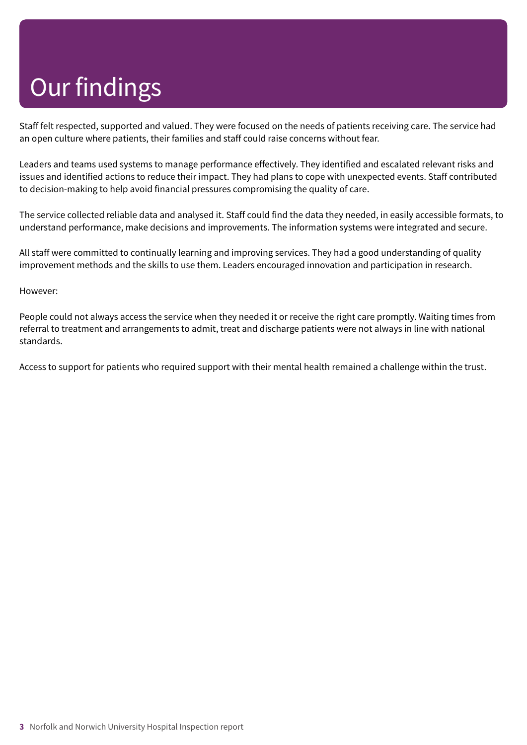# Our findings

Staff felt respected, supported and valued. They were focused on the needs of patients receiving care. The service had an open culture where patients, their families and staff could raise concerns without fear.

Leaders and teams used systems to manage performance effectively. They identified and escalated relevant risks and issues and identified actions to reduce their impact. They had plans to cope with unexpected events. Staff contributed to decision-making to help avoid financial pressures compromising the quality of care.

The service collected reliable data and analysed it. Staff could find the data they needed, in easily accessible formats, to understand performance, make decisions and improvements. The information systems were integrated and secure.

All staff were committed to continually learning and improving services. They had a good understanding of quality improvement methods and the skills to use them. Leaders encouraged innovation and participation in research.

#### However:

People could not always access the service when they needed it or receive the right care promptly. Waiting times from referral to treatment and arrangements to admit, treat and discharge patients were not always in line with national standards.

Access to support for patients who required support with their mental health remained a challenge within the trust.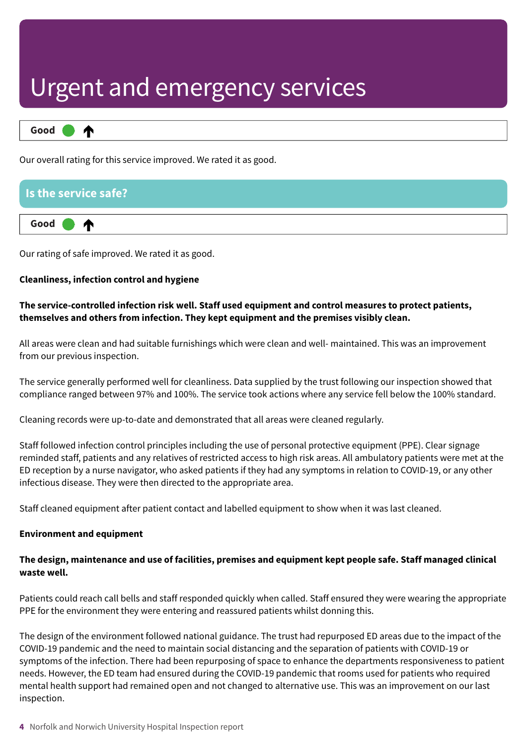

Our overall rating for this service improved. We rated it as good.

### **Is the service safe? Good –––** ⋔

Our rating of safe improved. We rated it as good.

#### **Cleanliness, infection control and hygiene**

#### **The service-controlled infection risk well. Staff used equipment and control measures to protect patients, themselves and others from infection. They kept equipment and the premises visibly clean.**

All areas were clean and had suitable furnishings which were clean and well- maintained. This was an improvement from our previous inspection.

The service generally performed well for cleanliness. Data supplied by the trust following our inspection showed that compliance ranged between 97% and 100%. The service took actions where any service fell below the 100% standard.

Cleaning records were up-to-date and demonstrated that all areas were cleaned regularly.

Staff followed infection control principles including the use of personal protective equipment (PPE). Clear signage reminded staff, patients and any relatives of restricted access to high risk areas. All ambulatory patients were met at the ED reception by a nurse navigator, who asked patients if they had any symptoms in relation to COVID-19, or any other infectious disease. They were then directed to the appropriate area.

Staff cleaned equipment after patient contact and labelled equipment to show when it was last cleaned.

#### **Environment and equipment**

#### **The design, maintenance and use of facilities, premises and equipment kept people safe. Staff managed clinical waste well.**

Patients could reach call bells and staff responded quickly when called. Staff ensured they were wearing the appropriate PPE for the environment they were entering and reassured patients whilst donning this.

The design of the environment followed national guidance. The trust had repurposed ED areas due to the impact of the COVID-19 pandemic and the need to maintain social distancing and the separation of patients with COVID-19 or symptoms of the infection. There had been repurposing of space to enhance the departments responsiveness to patient needs. However, the ED team had ensured during the COVID-19 pandemic that rooms used for patients who required mental health support had remained open and not changed to alternative use. This was an improvement on our last inspection.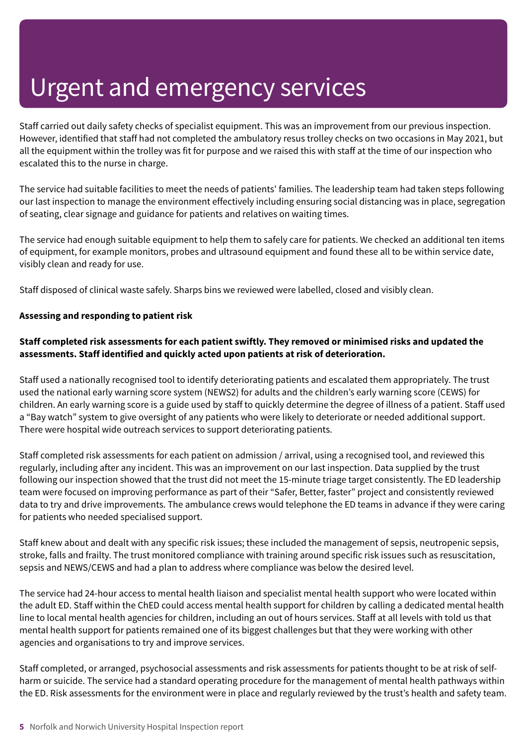Staff carried out daily safety checks of specialist equipment. This was an improvement from our previous inspection. However, identified that staff had not completed the ambulatory resus trolley checks on two occasions in May 2021, but all the equipment within the trolley was fit for purpose and we raised this with staff at the time of our inspection who escalated this to the nurse in charge.

The service had suitable facilities to meet the needs of patients' families. The leadership team had taken steps following our last inspection to manage the environment effectively including ensuring social distancing was in place, segregation of seating, clear signage and guidance for patients and relatives on waiting times.

The service had enough suitable equipment to help them to safely care for patients. We checked an additional ten items of equipment, for example monitors, probes and ultrasound equipment and found these all to be within service date, visibly clean and ready for use.

Staff disposed of clinical waste safely. Sharps bins we reviewed were labelled, closed and visibly clean.

#### **Assessing and responding to patient risk**

#### **Staff completed risk assessments for each patient swiftly. They removed or minimised risks and updated the assessments. Staff identified and quickly acted upon patients at risk of deterioration.**

Staff used a nationally recognised tool to identify deteriorating patients and escalated them appropriately. The trust used the national early warning score system (NEWS2) for adults and the children's early warning score (CEWS) for children. An early warning score is a guide used by staff to quickly determine the degree of illness of a patient. Staff used a "Bay watch" system to give oversight of any patients who were likely to deteriorate or needed additional support. There were hospital wide outreach services to support deteriorating patients.

Staff completed risk assessments for each patient on admission / arrival, using a recognised tool, and reviewed this regularly, including after any incident. This was an improvement on our last inspection. Data supplied by the trust following our inspection showed that the trust did not meet the 15-minute triage target consistently. The ED leadership team were focused on improving performance as part of their "Safer, Better, faster" project and consistently reviewed data to try and drive improvements. The ambulance crews would telephone the ED teams in advance if they were caring for patients who needed specialised support.

Staff knew about and dealt with any specific risk issues; these included the management of sepsis, neutropenic sepsis, stroke, falls and frailty. The trust monitored compliance with training around specific risk issues such as resuscitation, sepsis and NEWS/CEWS and had a plan to address where compliance was below the desired level.

The service had 24-hour access to mental health liaison and specialist mental health support who were located within the adult ED. Staff within the ChED could access mental health support for children by calling a dedicated mental health line to local mental health agencies for children, including an out of hours services. Staff at all levels with told us that mental health support for patients remained one of its biggest challenges but that they were working with other agencies and organisations to try and improve services.

Staff completed, or arranged, psychosocial assessments and risk assessments for patients thought to be at risk of selfharm or suicide. The service had a standard operating procedure for the management of mental health pathways within the ED. Risk assessments for the environment were in place and regularly reviewed by the trust's health and safety team.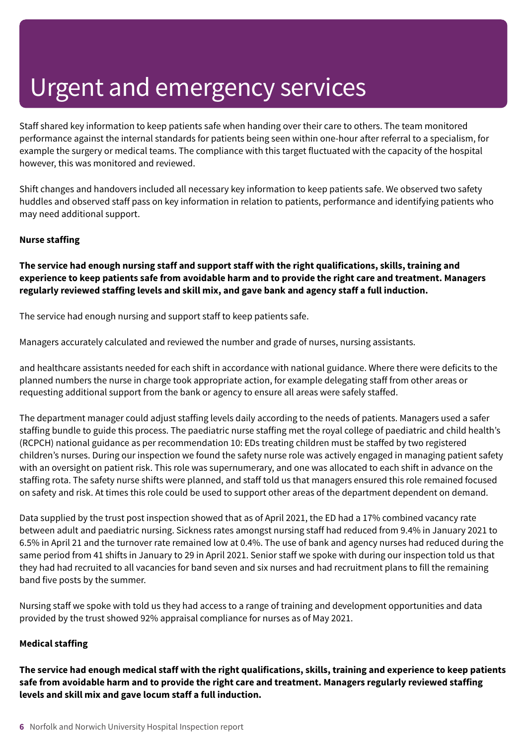Staff shared key information to keep patients safe when handing over their care to others. The team monitored performance against the internal standards for patients being seen within one-hour after referral to a specialism, for example the surgery or medical teams. The compliance with this target fluctuated with the capacity of the hospital however, this was monitored and reviewed.

Shift changes and handovers included all necessary key information to keep patients safe. We observed two safety huddles and observed staff pass on key information in relation to patients, performance and identifying patients who may need additional support.

#### **Nurse staffing**

**The service had enough nursing staff and support staff with the right qualifications, skills, training and** experience to keep patients safe from avoidable harm and to provide the right care and treatment. Managers **regularly reviewed staffing levels and skill mix, and gave bank and agency staff a full induction.**

The service had enough nursing and support staff to keep patients safe.

Managers accurately calculated and reviewed the number and grade of nurses, nursing assistants.

and healthcare assistants needed for each shift in accordance with national guidance. Where there were deficits to the planned numbers the nurse in charge took appropriate action, for example delegating staff from other areas or requesting additional support from the bank or agency to ensure all areas were safely staffed.

The department manager could adjust staffing levels daily according to the needs of patients. Managers used a safer staffing bundle to guide this process. The paediatric nurse staffing met the royal college of paediatric and child health's (RCPCH) national guidance as per recommendation 10: EDs treating children must be staffed by two registered children's nurses. During our inspection we found the safety nurse role was actively engaged in managing patient safety with an oversight on patient risk. This role was supernumerary, and one was allocated to each shift in advance on the staffing rota. The safety nurse shifts were planned, and staff told us that managers ensured this role remained focused on safety and risk. At times this role could be used to support other areas of the department dependent on demand.

Data supplied by the trust post inspection showed that as of April 2021, the ED had a 17% combined vacancy rate between adult and paediatric nursing. Sickness rates amongst nursing staff had reduced from 9.4% in January 2021 to 6.5% in April 21 and the turnover rate remained low at 0.4%. The use of bank and agency nurses had reduced during the same period from 41 shifts in January to 29 in April 2021. Senior staff we spoke with during our inspection told us that they had had recruited to all vacancies for band seven and six nurses and had recruitment plans to fill the remaining band five posts by the summer.

Nursing staff we spoke with told us they had access to a range of training and development opportunities and data provided by the trust showed 92% appraisal compliance for nurses as of May 2021.

#### **Medical staffing**

The service had enough medical staff with the right qualifications, skills, training and experience to keep patients **safe from avoidable harm and to provide the right care and treatment. Managers regularly reviewed staffing levels and skill mix and gave locum staff a full induction.**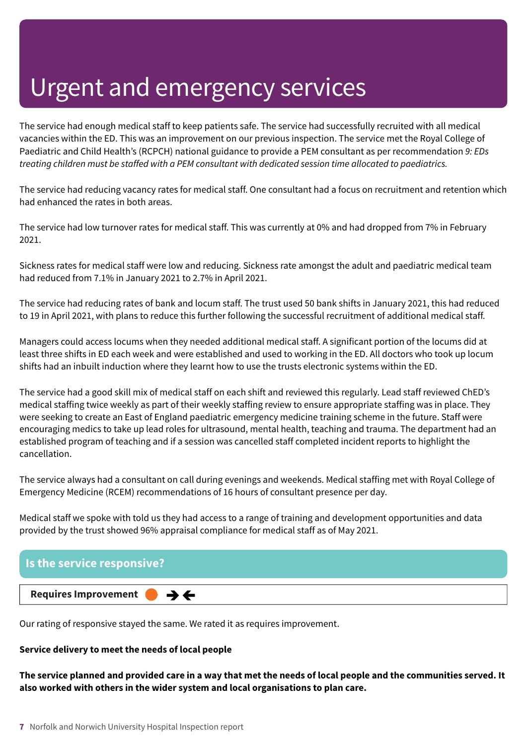The service had enough medical staff to keep patients safe. The service had successfully recruited with all medical vacancies within the ED. This was an improvement on our previous inspection. The service met the Royal College of Paediatric and Child Health's (RCPCH) national guidance to provide a PEM consultant as per recommendation *9: EDs treating children must be staffed with a PEM consultant with dedicated session time allocated to paediatrics.*

The service had reducing vacancy rates for medical staff. One consultant had a focus on recruitment and retention which had enhanced the rates in both areas.

The service had low turnover rates for medical staff. This was currently at 0% and had dropped from 7% in February 2021.

Sickness rates for medical staff were low and reducing. Sickness rate amongst the adult and paediatric medical team had reduced from 7.1% in January 2021 to 2.7% in April 2021.

The service had reducing rates of bank and locum staff. The trust used 50 bank shifts in January 2021, this had reduced to 19 in April 2021, with plans to reduce this further following the successful recruitment of additional medical staff.

Managers could access locums when they needed additional medical staff. A significant portion of the locums did at least three shifts in ED each week and were established and used to working in the ED. All doctors who took up locum shifts had an inbuilt induction where they learnt how to use the trusts electronic systems within the ED.

The service had a good skill mix of medical staff on each shift and reviewed this regularly. Lead staff reviewed ChED's medical staffing twice weekly as part of their weekly staffing review to ensure appropriate staffing was in place. They were seeking to create an East of England paediatric emergency medicine training scheme in the future. Staff were encouraging medics to take up lead roles for ultrasound, mental health, teaching and trauma. The department had an established program of teaching and if a session was cancelled staff completed incident reports to highlight the cancellation.

The service always had a consultant on call during evenings and weekends. Medical staffing met with Royal College of Emergency Medicine (RCEM) recommendations of 16 hours of consultant presence per day.

Medical staff we spoke with told us they had access to a range of training and development opportunities and data provided by the trust showed 96% appraisal compliance for medical staff as of May 2021.



Our rating of responsive stayed the same. We rated it as requires improvement.

#### **Service delivery to meet the needs of local people**

The service planned and provided care in a way that met the needs of local people and the communities served. It **also worked with others in the wider system and local organisations to plan care.**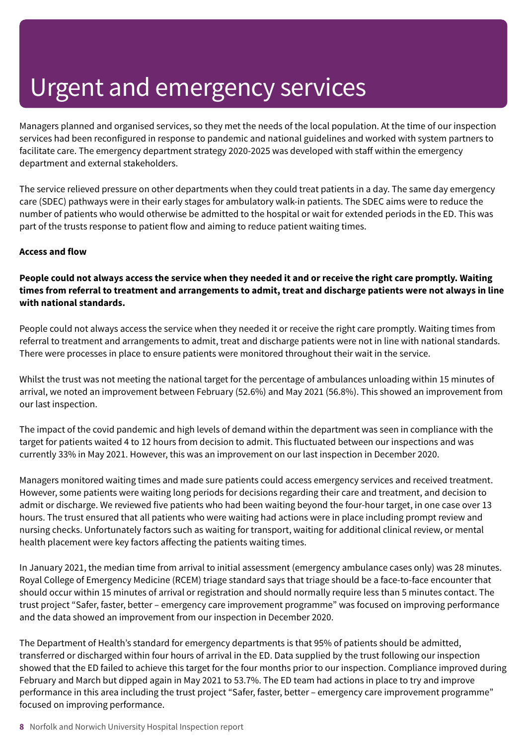Managers planned and organised services, so they met the needs of the local population. At the time of our inspection services had been reconfigured in response to pandemic and national guidelines and worked with system partners to facilitate care. The emergency department strategy 2020-2025 was developed with staff within the emergency department and external stakeholders.

The service relieved pressure on other departments when they could treat patients in a day. The same day emergency care (SDEC) pathways were in their early stages for ambulatory walk-in patients. The SDEC aims were to reduce the number of patients who would otherwise be admitted to the hospital or wait for extended periods in the ED. This was part of the trusts response to patient flow and aiming to reduce patient waiting times.

#### **Access and flow**

#### People could not always access the service when they needed it and or receive the right care promptly. Waiting times from referral to treatment and arrangements to admit, treat and discharge patients were not always in line **with national standards.**

People could not always access the service when they needed it or receive the right care promptly. Waiting times from referral to treatment and arrangements to admit, treat and discharge patients were not in line with national standards. There were processes in place to ensure patients were monitored throughout their wait in the service.

Whilst the trust was not meeting the national target for the percentage of ambulances unloading within 15 minutes of arrival, we noted an improvement between February (52.6%) and May 2021 (56.8%). This showed an improvement from our last inspection.

The impact of the covid pandemic and high levels of demand within the department was seen in compliance with the target for patients waited 4 to 12 hours from decision to admit. This fluctuated between our inspections and was currently 33% in May 2021. However, this was an improvement on our last inspection in December 2020.

Managers monitored waiting times and made sure patients could access emergency services and received treatment. However, some patients were waiting long periods for decisions regarding their care and treatment, and decision to admit or discharge. We reviewed five patients who had been waiting beyond the four-hour target, in one case over 13 hours. The trust ensured that all patients who were waiting had actions were in place including prompt review and nursing checks. Unfortunately factors such as waiting for transport, waiting for additional clinical review, or mental health placement were key factors affecting the patients waiting times.

In January 2021, the median time from arrival to initial assessment (emergency ambulance cases only) was 28 minutes. Royal College of Emergency Medicine (RCEM) triage standard says that triage should be a face-to-face encounter that should occur within 15 minutes of arrival or registration and should normally require less than 5 minutes contact. The trust project "Safer, faster, better – emergency care improvement programme" was focused on improving performance and the data showed an improvement from our inspection in December 2020.

The Department of Health's standard for emergency departments is that 95% of patients should be admitted, transferred or discharged within four hours of arrival in the ED. Data supplied by the trust following our inspection showed that the ED failed to achieve this target for the four months prior to our inspection. Compliance improved during February and March but dipped again in May 2021 to 53.7%. The ED team had actions in place to try and improve performance in this area including the trust project "Safer, faster, better – emergency care improvement programme" focused on improving performance.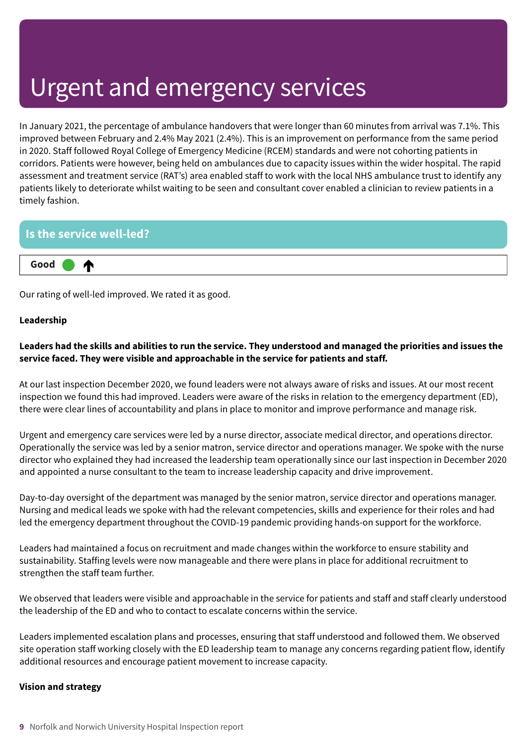In January 2021, the percentage of ambulance handovers that were longer than 60 minutes from arrival was 7.1%. This improved between February and 2.4% May 2021 (2.4%). This is an improvement on performance from the same period in 2020. Staff followed Royal College of Emergency Medicine (RCEM) standards and were not cohorting patients in corridors. Patients were however, being held on ambulances due to capacity issues within the wider hospital. The rapid assessment and treatment service (RAT's) area enabled staff to work with the local NHS ambulance trust to identify any patients likely to deteriorate whilst waiting to be seen and consultant cover enabled a clinician to review patients in a timely fashion.

#### **Is the service well-led?**



Our rating of well-led improved. We rated it as good.

#### **Leadership**

#### Leaders had the skills and abilities to run the service. They understood and managed the priorities and issues the **service faced. They were visible and approachable in the service for patients and staff.**

At our last inspection December 2020, we found leaders were not always aware of risks and issues. At our most recent inspection we found this had improved. Leaders were aware of the risks in relation to the emergency department (ED), there were clear lines of accountability and plans in place to monitor and improve performance and manage risk.

Urgent and emergency care services were led by a nurse director, associate medical director, and operations director. Operationally the service was led by a senior matron, service director and operations manager. We spoke with the nurse director who explained they had increased the leadership team operationally since our last inspection in December 2020 and appointed a nurse consultant to the team to increase leadership capacity and drive improvement.

Day-to-day oversight of the department was managed by the senior matron, service director and operations manager. Nursing and medical leads we spoke with had the relevant competencies, skills and experience for their roles and had led the emergency department throughout the COVID-19 pandemic providing hands-on support for the workforce.

Leaders had maintained a focus on recruitment and made changes within the workforce to ensure stability and sustainability. Staffing levels were now manageable and there were plans in place for additional recruitment to strengthen the staff team further.

We observed that leaders were visible and approachable in the service for patients and staff and staff clearly understood the leadership of the ED and who to contact to escalate concerns within the service.

Leaders implemented escalation plans and processes, ensuring that staff understood and followed them. We observed site operation staff working closely with the ED leadership team to manage any concerns regarding patient flow, identify additional resources and encourage patient movement to increase capacity.

#### **Vision and strategy**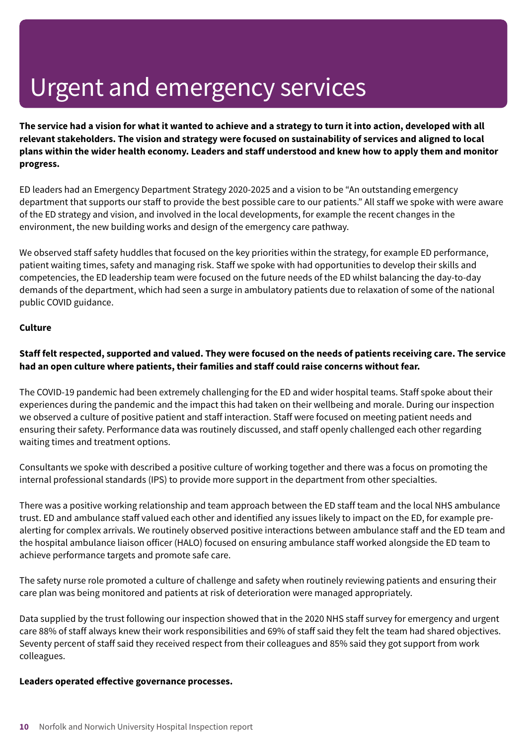The service had a vision for what it wanted to achieve and a strategy to turn it into action, developed with all **relevant stakeholders. The vision and strategy were focused on sustainability of services and aligned to local** plans within the wider health economy. Leaders and staff understood and knew how to apply them and monitor **progress.**

ED leaders had an Emergency Department Strategy 2020-2025 and a vision to be "An outstanding emergency department that supports our staff to provide the best possible care to our patients." All staff we spoke with were aware of the ED strategy and vision, and involved in the local developments, for example the recent changes in the environment, the new building works and design of the emergency care pathway.

We observed staff safety huddles that focused on the key priorities within the strategy, for example ED performance, patient waiting times, safety and managing risk. Staff we spoke with had opportunities to develop their skills and competencies, the ED leadership team were focused on the future needs of the ED whilst balancing the day-to-day demands of the department, which had seen a surge in ambulatory patients due to relaxation of some of the national public COVID guidance.

#### **Culture**

#### Staff felt respected, supported and valued. They were focused on the needs of patients receiving care. The service **had an open culture where patients, their families and staff could raise concerns without fear.**

The COVID-19 pandemic had been extremely challenging for the ED and wider hospital teams. Staff spoke about their experiences during the pandemic and the impact this had taken on their wellbeing and morale. During our inspection we observed a culture of positive patient and staff interaction. Staff were focused on meeting patient needs and ensuring their safety. Performance data was routinely discussed, and staff openly challenged each other regarding waiting times and treatment options.

Consultants we spoke with described a positive culture of working together and there was a focus on promoting the internal professional standards (IPS) to provide more support in the department from other specialties.

There was a positive working relationship and team approach between the ED staff team and the local NHS ambulance trust. ED and ambulance staff valued each other and identified any issues likely to impact on the ED, for example prealerting for complex arrivals. We routinely observed positive interactions between ambulance staff and the ED team and the hospital ambulance liaison officer (HALO) focused on ensuring ambulance staff worked alongside the ED team to achieve performance targets and promote safe care.

The safety nurse role promoted a culture of challenge and safety when routinely reviewing patients and ensuring their care plan was being monitored and patients at risk of deterioration were managed appropriately.

Data supplied by the trust following our inspection showed that in the 2020 NHS staff survey for emergency and urgent care 88% of staff always knew their work responsibilities and 69% of staff said they felt the team had shared objectives. Seventy percent of staff said they received respect from their colleagues and 85% said they got support from work colleagues.

#### **Leaders operated effective governance processes.**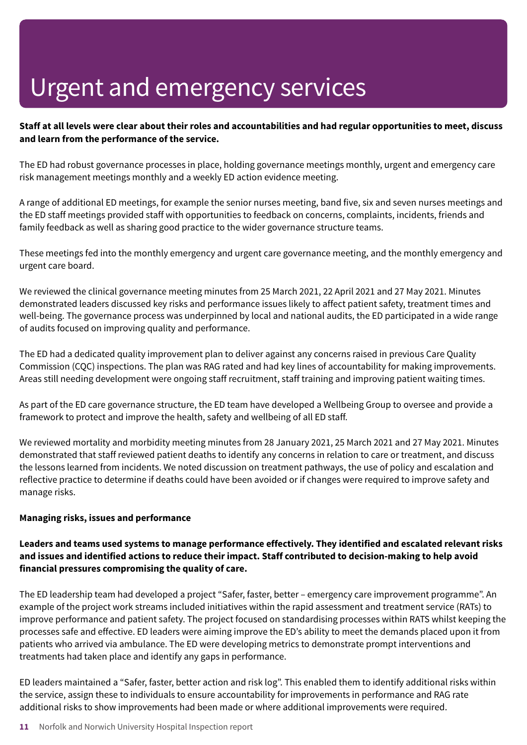#### Staff at all levels were clear about their roles and accountabilities and had regular opportunities to meet, discuss **and learn from the performance of the service.**

The ED had robust governance processes in place, holding governance meetings monthly, urgent and emergency care risk management meetings monthly and a weekly ED action evidence meeting.

A range of additional ED meetings, for example the senior nurses meeting, band five, six and seven nurses meetings and the ED staff meetings provided staff with opportunities to feedback on concerns, complaints, incidents, friends and family feedback as well as sharing good practice to the wider governance structure teams.

These meetings fed into the monthly emergency and urgent care governance meeting, and the monthly emergency and urgent care board.

We reviewed the clinical governance meeting minutes from 25 March 2021, 22 April 2021 and 27 May 2021. Minutes demonstrated leaders discussed key risks and performance issues likely to affect patient safety, treatment times and well-being. The governance process was underpinned by local and national audits, the ED participated in a wide range of audits focused on improving quality and performance.

The ED had a dedicated quality improvement plan to deliver against any concerns raised in previous Care Quality Commission (CQC) inspections. The plan was RAG rated and had key lines of accountability for making improvements. Areas still needing development were ongoing staff recruitment, staff training and improving patient waiting times.

As part of the ED care governance structure, the ED team have developed a Wellbeing Group to oversee and provide a framework to protect and improve the health, safety and wellbeing of all ED staff.

We reviewed mortality and morbidity meeting minutes from 28 January 2021, 25 March 2021 and 27 May 2021. Minutes demonstrated that staff reviewed patient deaths to identify any concerns in relation to care or treatment, and discuss the lessons learned from incidents. We noted discussion on treatment pathways, the use of policy and escalation and reflective practice to determine if deaths could have been avoided or if changes were required to improve safety and manage risks.

#### **Managing risks, issues and performance**

#### **Leaders and teams used systems to manage performance effectively. They identified and escalated relevant risks and issues and identified actions to reduce their impact. Staff contributed to decision-making to help avoid financial pressures compromising the quality of care.**

The ED leadership team had developed a project "Safer, faster, better – emergency care improvement programme". An example of the project work streams included initiatives within the rapid assessment and treatment service (RATs) to improve performance and patient safety. The project focused on standardising processes within RATS whilst keeping the processes safe and effective. ED leaders were aiming improve the ED's ability to meet the demands placed upon it from patients who arrived via ambulance. The ED were developing metrics to demonstrate prompt interventions and treatments had taken place and identify any gaps in performance.

ED leaders maintained a "Safer, faster, better action and risk log". This enabled them to identify additional risks within the service, assign these to individuals to ensure accountability for improvements in performance and RAG rate additional risks to show improvements had been made or where additional improvements were required.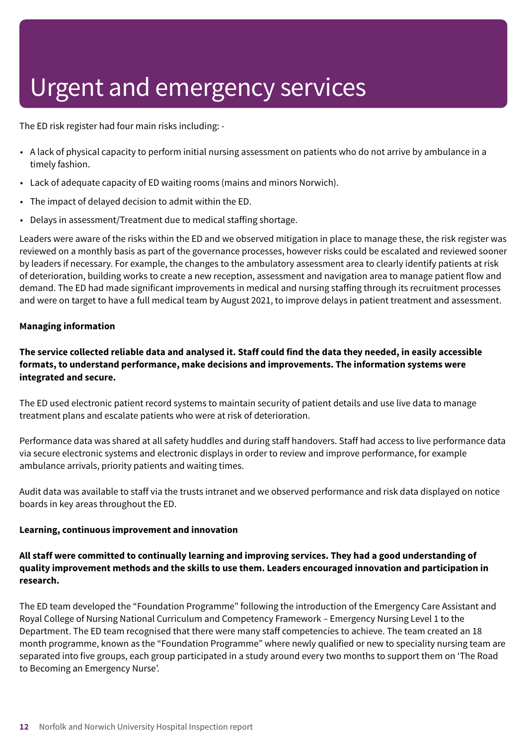The ED risk register had four main risks including: -

- A lack of physical capacity to perform initial nursing assessment on patients who do not arrive by ambulance in a timely fashion.
- Lack of adequate capacity of ED waiting rooms (mains and minors Norwich).
- The impact of delayed decision to admit within the ED.
- Delays in assessment/Treatment due to medical staffing shortage.

Leaders were aware of the risks within the ED and we observed mitigation in place to manage these, the risk register was reviewed on a monthly basis as part of the governance processes, however risks could be escalated and reviewed sooner by leaders if necessary. For example, the changes to the ambulatory assessment area to clearly identify patients at risk of deterioration, building works to create a new reception, assessment and navigation area to manage patient flow and demand. The ED had made significant improvements in medical and nursing staffing through its recruitment processes and were on target to have a full medical team by August 2021, to improve delays in patient treatment and assessment.

#### **Managing information**

#### The service collected reliable data and analysed it. Staff could find the data they needed, in easily accessible **formats, to understand performance, make decisions and improvements. The information systems were integrated and secure.**

The ED used electronic patient record systems to maintain security of patient details and use live data to manage treatment plans and escalate patients who were at risk of deterioration.

Performance data was shared at all safety huddles and during staff handovers. Staff had access to live performance data via secure electronic systems and electronic displays in order to review and improve performance, for example ambulance arrivals, priority patients and waiting times.

Audit data was available to staff via the trusts intranet and we observed performance and risk data displayed on notice boards in key areas throughout the ED.

#### **Learning, continuous improvement and innovation**

#### **All staff were committed to continually learning and improving services. They had a good understanding of quality improvement methods and the skills to use them. Leaders encouraged innovation and participation in research.**

The ED team developed the "Foundation Programme" following the introduction of the Emergency Care Assistant and Royal College of Nursing National Curriculum and Competency Framework – Emergency Nursing Level 1 to the Department. The ED team recognised that there were many staff competencies to achieve. The team created an 18 month programme, known as the "Foundation Programme" where newly qualified or new to speciality nursing team are separated into five groups, each group participated in a study around every two months to support them on 'The Road to Becoming an Emergency Nurse'.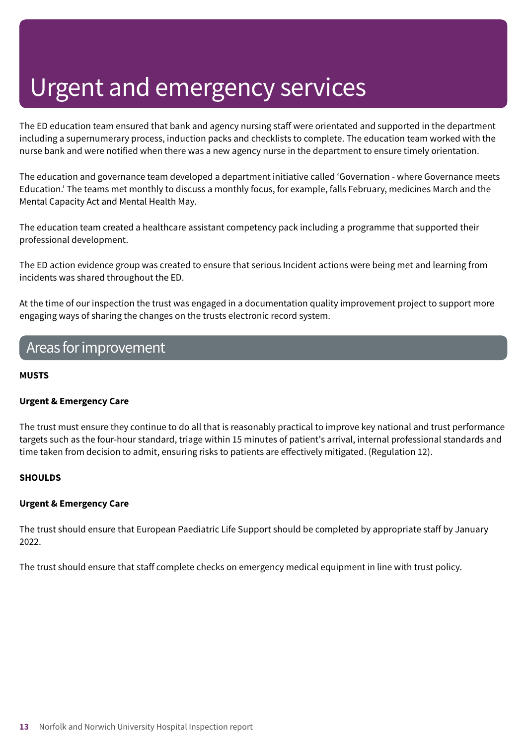The ED education team ensured that bank and agency nursing staff were orientated and supported in the department including a supernumerary process, induction packs and checklists to complete. The education team worked with the nurse bank and were notified when there was a new agency nurse in the department to ensure timely orientation.

The education and governance team developed a department initiative called 'Governation - where Governance meets Education.' The teams met monthly to discuss a monthly focus, for example, falls February, medicines March and the Mental Capacity Act and Mental Health May.

The education team created a healthcare assistant competency pack including a programme that supported their professional development.

The ED action evidence group was created to ensure that serious Incident actions were being met and learning from incidents was shared throughout the ED.

At the time of our inspection the trust was engaged in a documentation quality improvement project to support more engaging ways of sharing the changes on the trusts electronic record system.

### Areas forimprovement

#### **MUSTS**

#### **Urgent & Emergency Care**

The trust must ensure they continue to do all that is reasonably practical to improve key national and trust performance targets such as the four-hour standard, triage within 15 minutes of patient's arrival, internal professional standards and time taken from decision to admit, ensuring risks to patients are effectively mitigated. (Regulation 12).

#### **SHOULDS**

#### **Urgent & Emergency Care**

The trust should ensure that European Paediatric Life Support should be completed by appropriate staff by January 2022.

The trust should ensure that staff complete checks on emergency medical equipment in line with trust policy.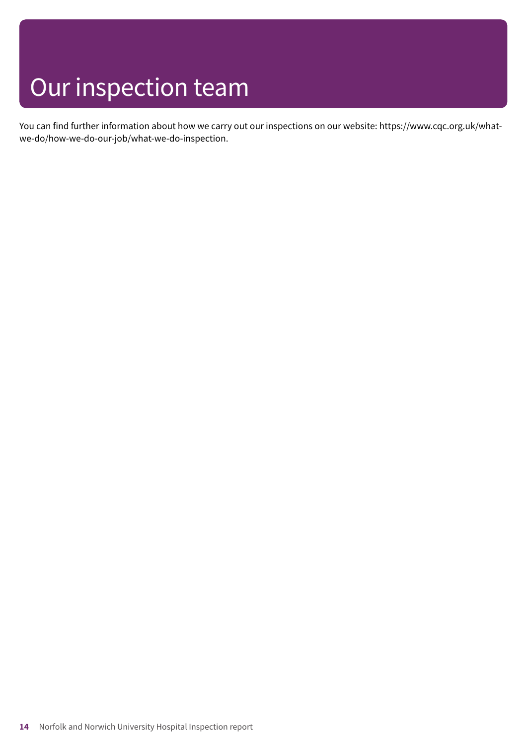# Our inspection team

You can find further information about how we carry out our inspections on our website: https://www.cqc.org.uk/whatwe-do/how-we-do-our-job/what-we-do-inspection.